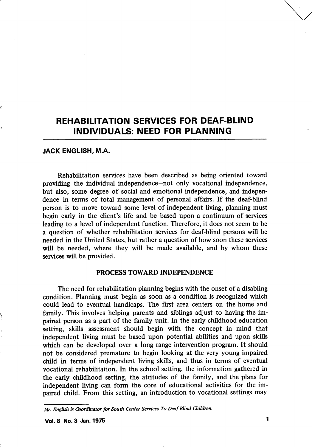# REHABILITATION SERVICES FOR DEAF-BLIND INDIVIDUALS: NEED FOR PLANNING

## JACK ENGLISH, M.A.

Rehabilitation services have been described as being oriented toward providing the individual independence—not only vocational independence, but also, some degree of social and emotional independence, and indepen dence in terms of total management of personal affairs. If the deaf-blind person is to move toward some level of independent living, planning must begin early in the client's life and be based upon a continuum of services leading to a level of independent function. Therefore, it does not seem to be a question of whether rehabilitation services for deaf-blind persons will be needed in the United States, but rather a question of how soon these services will be needed, where they will be made available, and by whom these services will be provided.

# PROCESS TOWARD INDEPENDENCE

The need for rehabilitation planning begins with the onset of a disabling condition. Planning must begin as soon as a condition is recognized which could lead to eventual handicaps. The first area centers on the home and family. This involves helping parents and siblings adjust to having the im paired person as a part of the family unit. In the early childhood education setting, skills assessment should begin with the concept in mind that independent living must be based upon potential abilities and upon skills which can be developed over a long range intervention program. It should not be considered premature to begin looking at the very young impaired child in terms of independent living skills, and thus in terms of eventual vocational rehabilitation. In the school setting, the information gathered in the early childhood setting, the attitudes of the family, and the plans for independent living can form the core of educational activities for the im paired child. From this setting, an introduction to vocational settings may

Mr. English is Coordinator for South Center Services To Deaf Blind Children.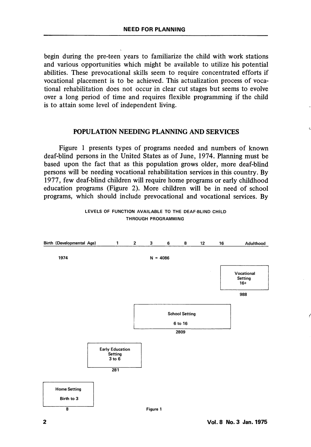begin during the pre-teen years to familiarize the child with work stations and various opportunities which might be available to utilize his potential abilities. These prevocational skills seem to require concentrated efforts if vocational placement is to be achieved. This actualization process of voca tional rehabilitation does not occur in clear cut stages but seems to evolve over a long period of time and requires flexible programming if the child is to attain some level of independent living.

# POPULATION NEEDING PLANNING AND SERVICES

Figure 1 presents types of programs needed and numbers of known deaf-blind persons in the United States as of June, 1974. Planning must be based upon the fact that as this population grows older, more deaf-blind persons will be needing vocational rehabilitation services in this country. By 1977, few deaf-blind children will require home programs or early childhood education programs (Figure 2). More children will be in need of school programs, which should include prevocational and vocational services. By



#### LEVELS OF FUNCTION AVAILABLE TO THE DEAF-BLIND CHILD THROUGH PROGRAMMING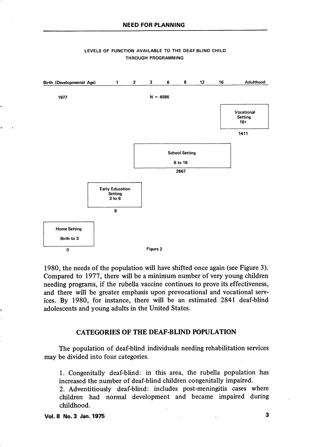

#### LEVELS OF FUNCTION AVAILABLE TO THE DEAF-BLIND CHILD THROUGH PROGRAMMING

1980, the needs of the population will have shifted once again (see Figure 3). Compared to 1977, there will be a minimum number of very young children needing programs, if the rubella vaccine continues to prove its effectiveness, and there will be greater emphasis upon prevocational and vocational serv ices. By 1980, for instance, there will be an estimated 2841 deaf-blind adolescents and young adults in the United States.

# CATEGORIES OF THE DEAF-BLIND POPULATION

The population of deaf-blind individuals needing rehabilitation services may be divided into four categories.

1. Congenitally deaf-blind: in this area, the rubella population has increased the number of deaf-blind children congenitally impaired.

2. Adventitiously deaf-blind: includes post-meningitis cases where children had normal development and became impaired during childhood.

Vol. 8 No. 3 Jan. 1975 3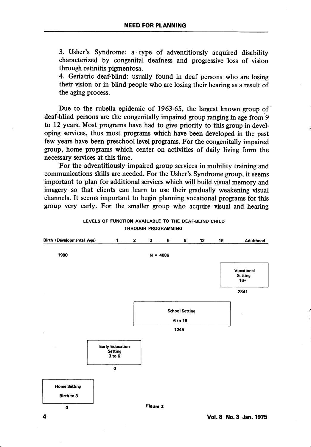3. Usher's Syndrome: a type of adventitiously acquired disability characterized by congenital deafness and progressive loss of vision through retinitis pigmentosa.

4. Geriatric deaf-blind: usually found in deaf persons who are losing their vision or in blind people who are losing their hearing as a result of the aging process.

Due to the rubella epidemic of 1963-65, the largest known group of deaf-blind persons are the congenitally impaired group ranging in age from 9 to 12 years. Most programs have had to give priority to this group in devel oping services, thus most programs which have been developed in the past few years have been preschool level programs. For the congenitally impaired group, home programs which center on activities of daily living form the necessary services at this time.

For the adventitiously impaired group services in mobility training and communications skills are needed. For the Usher's Syndrome group, it seems important to plan for additional services which will build visual memory and imagery so that clients can learn to use their gradually weakening visual channels. It seems important to begin planning vocational programs for this group very early. For the smaller group who acquire visual and hearing



#### LEVELS OF FUNCTION AVAILABLE TO THE DEAF-BLIND CHILD THROUGH PROGRAMMING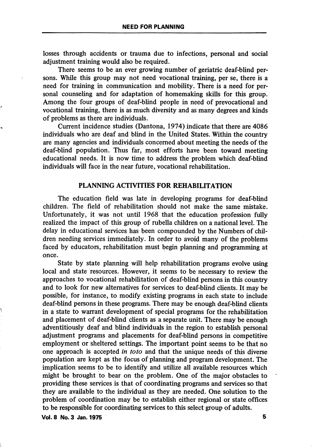losses through accidents or trauma due to infections, personal and social adjustment training would also be required.

There seems to be an ever growing number of geriatric deaf-blind per sons. While this group may not need vocational training, per se, there is a need for training in communication and mobility. There is a need for per sonal counseling and for adaptation of homemaking skills for this group. Among the four groups of deaf-blind people in need of prevocational and vocational training, there is as much diversity and as many degrees and kinds of problems as there are individuals.

Current incidence studies (Dantona, 1974) indicate that there are 4086 individuals who are deaf and blind in the United States. Within the country are many agencies and individuals concerned about meeting the needs of the deaf-blind population. Thus far, most efforts have been toward meeting educational needs. It is now time to address the problem which deaf-blind individuals wiU face in the near future, vocational rehabilitation.

## PLANNING ACTIVITIES FOR REHABILITATION

The education field was late in developing programs for deaf-blind children. The field of rehabilitation should not make the same mistake. Unfortunately, it was not until 1968 that the education profession fully realized the impact of this group of rubella children on a national level. The delay in educational services has been compounded by the Numbers of chil dren needing services immediately. In order to avoid many of the problems faced by educators, rehabilitation must begin planning and programming at once.

State by state planning will help rehabilitation programs evolve using local and state resources. However, it seems to be necessary to review the approaches to vocational rehabilitation of deaf-blind persons in this country and to look for new alternatives for services to deaf-blind clients. It may be possible, for instance, to modify existing programs in each state to include deaf-blind persons in these programs. There may be enough deaf-blind clients in a state to warrant development of special programs for the rehabilitation and placement of deaf-blind clients as a separate unit. There may be enough adventitiously deaf and blind individuals in the region to establish personal adjustment programs and placements for deaf-blind persons in competitive employment or sheltered settings. The important point seems to be that no one approach is accepted in toto and that the unique needs of this diverse population are kept as the focus of planning and program development. The implication seems to be to identify and utilize all available resources which might be brought to bear on the problem. One of the major obstacles to providing these services is that of coordinating programs and services so that they are available to the individual as they are needed. One solution to the problem of coordination may be to establish either regional or state offices to be responsible for coordinating services to this select group of adults.

Vol. 8 No. 3 Jan. 1975 **5**